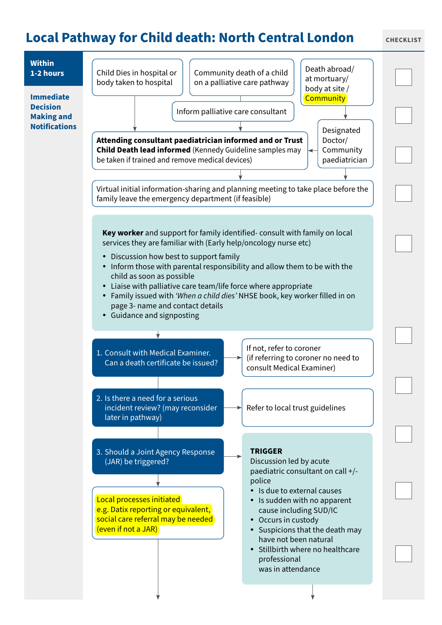## **Local Pathway for Child death: North Central London CHECKLIST**

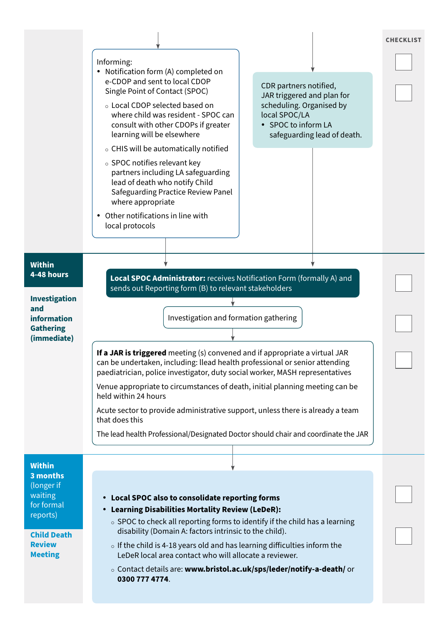